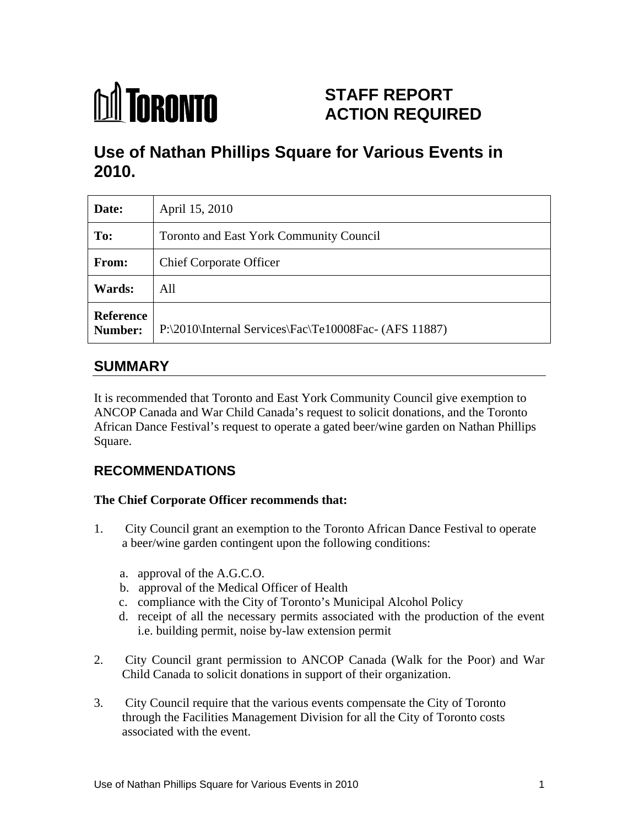

# **STAFF REPORT ACTION REQUIRED**

# **Use of Nathan Phillips Square for Various Events in 2010.**

| Date:                | April 15, 2010                              |
|----------------------|---------------------------------------------|
| To:                  | Toronto and East York Community Council     |
| <b>From:</b>         | <b>Chief Corporate Officer</b>              |
| <b>Wards:</b>        | All                                         |
| Reference<br>Number: | $\mathbb{P}:\2010\text{Internal Services}\$ |

# **SUMMARY**

It is recommended that Toronto and East York Community Council give exemption to ANCOP Canada and War Child Canada's request to solicit donations, and the Toronto African Dance Festival's request to operate a gated beer/wine garden on Nathan Phillips Square.

## **RECOMMENDATIONS**

### **The Chief Corporate Officer recommends that:**

- 1. City Council grant an exemption to the Toronto African Dance Festival to operate a beer/wine garden contingent upon the following conditions:
	- a. approval of the A.G.C.O.
	- b. approval of the Medical Officer of Health
	- c. compliance with the City of Toronto's Municipal Alcohol Policy
	- d. receipt of all the necessary permits associated with the production of the event i.e. building permit, noise by-law extension permit
- 2. City Council grant permission to ANCOP Canada (Walk for the Poor) and War Child Canada to solicit donations in support of their organization.
- 3. City Council require that the various events compensate the City of Toronto through the Facilities Management Division for all the City of Toronto costs associated with the event.